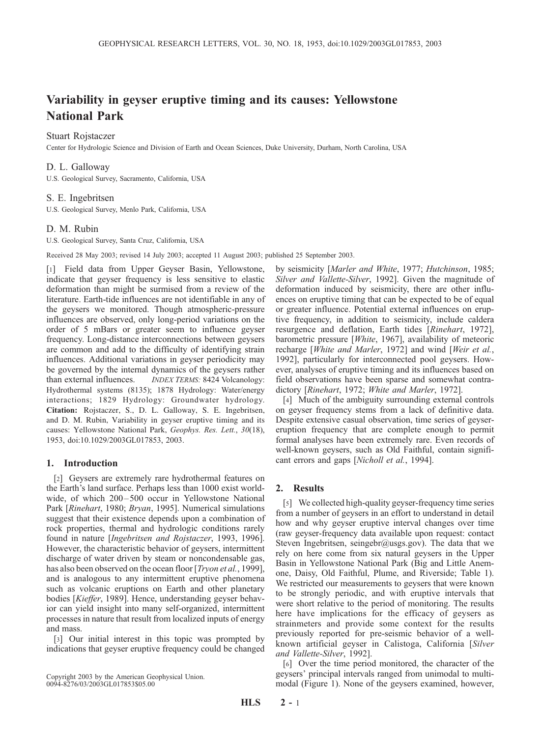# Variability in geyser eruptive timing and its causes: Yellowstone National Park

# Stuart Rojstaczer

Center for Hydrologic Science and Division of Earth and Ocean Sciences, Duke University, Durham, North Carolina, USA

### D. L. Galloway

U.S. Geological Survey, Sacramento, California, USA

#### S. E. Ingebritsen

U.S. Geological Survey, Menlo Park, California, USA

#### D. M. Rubin

U.S. Geological Survey, Santa Cruz, California, USA

Received 28 May 2003; revised 14 July 2003; accepted 11 August 2003; published 25 September 2003.

[1] Field data from Upper Geyser Basin, Yellowstone, indicate that geyser frequency is less sensitive to elastic deformation than might be surmised from a review of the literature. Earth-tide influences are not identifiable in any of the geysers we monitored. Though atmospheric-pressure influences are observed, only long-period variations on the order of 5 mBars or greater seem to influence geyser frequency. Long-distance interconnections between geysers are common and add to the difficulty of identifying strain influences. Additional variations in geyser periodicity may be governed by the internal dynamics of the geysers rather than external influences. *INDEX TERMS:* 8424 Volcanology: Hydrothermal systems (8135); 1878 Hydrology: Water/energy interactions; 1829 Hydrology: Groundwater hydrology. Citation: Rojstaczer, S., D. L. Galloway, S. E. Ingebritsen, and D. M. Rubin, Variability in geyser eruptive timing and its causes: Yellowstone National Park, Geophys. Res. Lett., 30(18), 1953, doi:10.1029/2003GL017853, 2003.

#### 1. Introduction

[2] Geysers are extremely rare hydrothermal features on the Earth's land surface. Perhaps less than 1000 exist worldwide, of which 200-500 occur in Yellowstone National Park [Rinehart, 1980; Brvan, 1995]. Numerical simulations suggest that their existence depends upon a combination of rock properties, thermal and hydrologic conditions rarely found in nature [Ingebritsen and Rojstaczer, 1993, 1996]. However, the characteristic behavior of geysers, intermittent discharge of water driven by steam or noncondensable gas, has also been observed on the ocean floor [*Tryon et al.*, 1999], and is analogous to any intermittent eruptive phenomena such as volcanic eruptions on Earth and other planetary bodies [Kieffer, 1989]. Hence, understanding geyser behavior can yield insight into many self-organized, intermittent processes in nature that result from localized inputs of energy and mass.

[3] Our initial interest in this topic was prompted by indications that geyser eruptive frequency could be changed

Copyright 2003 by the American Geophysical Union. 0094-8276/03/2003GL017853\$05.00

by seismicity [Marler and White, 1977; Hutchinson, 1985; Silver and Vallette-Silver, 1992]. Given the magnitude of deformation induced by seismicity, there are other influences on eruptive timing that can be expected to be of equal or greater influence. Potential external influences on eruptive frequency, in addition to seismicity, include caldera resurgence and deflation, Earth tides [Rinehart, 1972], barometric pressure [White, 1967], availability of meteoric recharge [White and Marler, 1972] and wind [Weir et al., 1992], particularly for interconnected pool geysers. However, analyses of eruptive timing and its influences based on field observations have been sparse and somewhat contradictory [Rinehart, 1972; White and Marler, 1972].

[4] Much of the ambiguity surrounding external controls on geyser frequency stems from a lack of definitive data. Despite extensive casual observation, time series of geysereruption frequency that are complete enough to permit formal analyses have been extremely rare. Even records of well-known geysers, such as Old Faithful, contain significant errors and gaps [Nicholl et al., 1994].

## 2. Results

[5] We collected high-quality geyser-frequency time series from a number of geysers in an effort to understand in detail how and why geyser eruptive interval changes over time (raw geyser-frequency data available upon request: contact Steven Ingebritsen, seingebr@usgs.gov). The data that we rely on here come from six natural geysers in the Upper Basin in Yellowstone National Park (Big and Little Anemone, Daisy, Old Faithful, Plume, and Riverside; Table 1). We restricted our measurements to geysers that were known to be strongly periodic, and with eruptive intervals that were short relative to the period of monitoring. The results here have implications for the efficacy of geysers as strainmeters and provide some context for the results previously reported for pre-seismic behavior of a wellknown artificial geyser in Calistoga, California [Silver and Vallette-Silver, 1992].

[6] Over the time period monitored, the character of the geysers' principal intervals ranged from unimodal to multimodal (Figure 1). None of the geysers examined, however,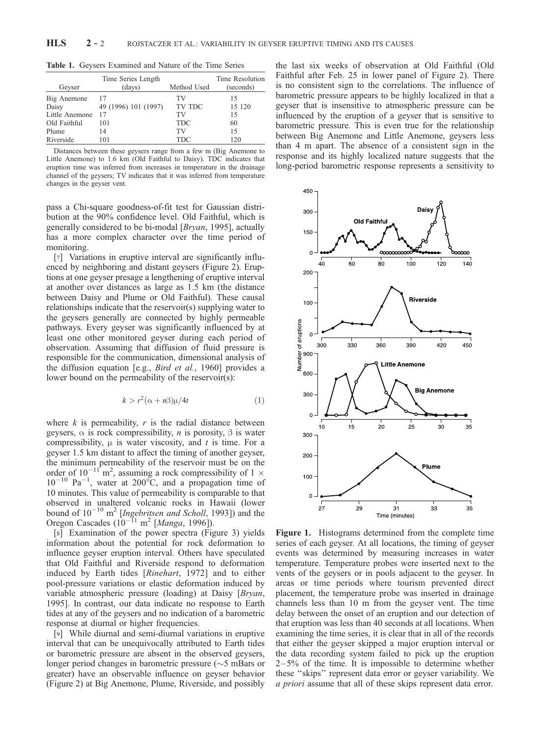| Geyser         | Time Series Length<br>(days) | Method Used | Time Resolution<br>(seconds) |
|----------------|------------------------------|-------------|------------------------------|
| Big Anemone    | 17                           | TV          | 15                           |
| Daisy          | 49 (1996) 101 (1997)         | TV TDC      | 15 120                       |
| Little Anemone | 17                           | TV          | 15                           |
| Old Faithful   | 101                          | <b>TDC</b>  | 60                           |
| Plume          | 14                           | TV          | 15                           |
| Riverside      | 101                          | TDC         | 120                          |
|                |                              |             |                              |

Table 1. Geysers Examined and Nature of the Time Series

Distances between these geysers range from a few m (Big Anemone to Little Anemone) to 1.6 km (Old Faithful to Daisy). TDC indicates that eruption time was inferred from increases in temperature in the drainage channel of the geysers; TV indicates that it was inferred from temperature changes in the geyser vent.

pass a Chi-square goodness-of-fit test for Gaussian distribution at the 90% confidence level. Old Faithful, which is generally considered to be bi-modal [Bryan, 1995], actually has a more complex character over the time period of monitoring.

[7] Variations in eruptive interval are significantly influenced by neighboring and distant geysers (Figure 2). Eruptions at one geyser presage a lengthening of eruptive interval at another over distances as large as 1.5 km (the distance between Daisy and Plume or Old Faithful). These causal relationships indicate that the reservoir(s) supplying water to the geysers generally are connected by highly permeable pathways. Every geyser was significantly influenced by at least one other monitored geyser during each period of observation. Assuming that diffusion of fluid pressure is responsible for the communication, dimensional analysis of the diffusion equation [e.g., Bird et al., 1960] provides a lower bound on the permeability of the reservoir(s):

$$
k > r^2(\alpha + n\beta)\mu/4t
$$
 (1)

where  $k$  is permeability,  $r$  is the radial distance between geysers,  $\alpha$  is rock compressibility, *n* is porosity,  $\beta$  is water compressibility,  $\mu$  is water viscosity, and t is time. For a geyser 1.5 km distant to affect the timing of another geyser, the minimum permeability of the reservoir must be on the order of  $10^{-11}$ <sup>n</sup> m<sup>2</sup>, assuming a rock compressibility of 1  $\times$  $10^{-10}$  Pa<sup>-1</sup>, water at 200 $^{\circ}$ C, and a propagation time of 10 minutes. This value of permeability is comparable to that observed in unaltered volcanic rocks in Hawaii (lower bound of  $10^{-10}$  m<sup>2</sup> [Ingebritsen and Scholl, 1993]) and the Oregon Cascades  $(10^{-11} \text{ m}^2 \text{[} \text{Manga}, 1996 \text{]}).$ 

[8] Examination of the power spectra (Figure 3) yields information about the potential for rock deformation to influence geyser eruption interval. Others have speculated that Old Faithful and Riverside respond to deformation induced by Earth tides [Rinehart, 1972] and to either pool-pressure variations or elastic deformation induced by variable atmospheric pressure (loading) at Daisy [Bryan, 1995]. In contrast, our data indicate no response to Earth tides at any of the geysers and no indication of a barometric response at diurnal or higher frequencies.

[9] While diurnal and semi-diurnal variations in eruptive interval that can be unequivocally attributed to Earth tides or barometric pressure are absent in the observed geysers, longer period changes in barometric pressure  $(\sim 5 \text{ mBars or})$ greater) have an observable influence on geyser behavior (Figure 2) at Big Anemone, Plume, Riverside, and possibly

the last six weeks of observation at Old Faithful (Old Faithful after Feb. 25 in lower panel of Figure 2). There is no consistent sign to the correlations. The influence of barometric pressure appears to be highly localized in that a geyser that is insensitive to atmospheric pressure can be influenced by the eruption of a geyser that is sensitive to barometric pressure. This is even true for the relationship between Big Anemone and Little Anemone, geysers less than 4 m apart. The absence of a consistent sign in the response and its highly localized nature suggests that the long-period barometric response represents a sensitivity to



Figure 1. Histograms determined from the complete time series of each geyser. At all locations, the timing of geyser events was determined by measuring increases in water temperature. Temperature probes were inserted next to the vents of the geysers or in pools adjacent to the geyser. In areas or time periods where tourism prevented direct placement, the temperature probe was inserted in drainage channels less than 10 m from the geyser vent. The time delay between the onset of an eruption and our detection of that eruption was less than 40 seconds at all locations. When examining the time series, it is clear that in all of the records that either the geyser skipped a major eruption interval or the data recording system failed to pick up the eruption  $2-5%$  of the time. It is impossible to determine whether these ''skips'' represent data error or geyser variability. We a priori assume that all of these skips represent data error.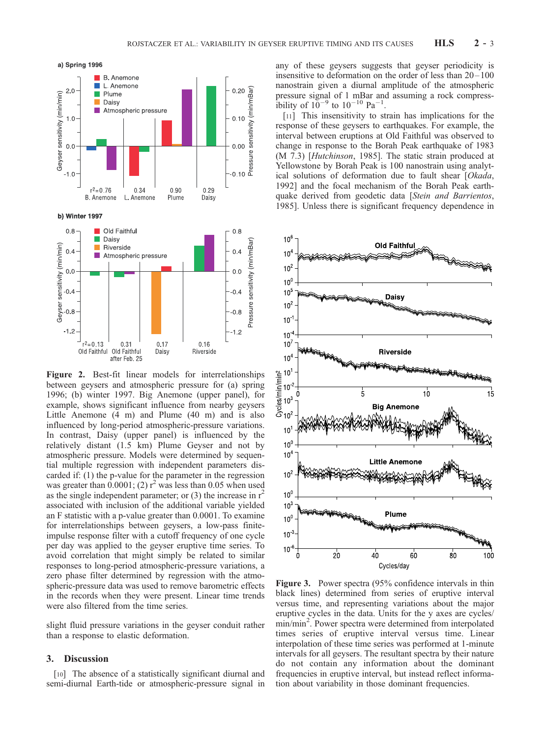

Figure 2. Best-fit linear models for interrelationships between geysers and atmospheric pressure for (a) spring 1996; (b) winter 1997. Big Anemone (upper panel), for example, shows significant influence from nearby geysers Little Anemone (4 m) and Plume (40 m) and is also influenced by long-period atmospheric-pressure variations. In contrast, Daisy (upper panel) is influenced by the relatively distant (1.5 km) Plume Geyser and not by atmospheric pressure. Models were determined by sequential multiple regression with independent parameters discarded if: (1) the p-value for the parameter in the regression was greater than  $0.0001$ ; (2)  $r^2$  was less than 0.05 when used as the single independent parameter; or  $(3)$  the increase in  $r<sup>2</sup>$ associated with inclusion of the additional variable yielded an F statistic with a p-value greater than 0.0001. To examine for interrelationships between geysers, a low-pass finiteimpulse response filter with a cutoff frequency of one cycle per day was applied to the geyser eruptive time series. To avoid correlation that might simply be related to similar responses to long-period atmospheric-pressure variations, a zero phase filter determined by regression with the atmospheric-pressure data was used to remove barometric effects in the records when they were present. Linear time trends were also filtered from the time series.

slight fluid pressure variations in the geyser conduit rather than a response to elastic deformation.

# 3. Discussion

[10] The absence of a statistically significant diurnal and semi-diurnal Earth-tide or atmospheric-pressure signal in any of these geysers suggests that geyser periodicity is insensitive to deformation on the order of less than  $20-100$ nanostrain given a diurnal amplitude of the atmospheric pressure signal of 1 mBar and assuming a rock compressibility of  $10^{-9}$  to  $10^{-10}$  Pa<sup>-1</sup>.

[11] This insensitivity to strain has implications for the response of these geysers to earthquakes. For example, the interval between eruptions at Old Faithful was observed to change in response to the Borah Peak earthquake of 1983 (M 7.3) [Hutchinson, 1985]. The static strain produced at Yellowstone by Borah Peak is 100 nanostrain using analytical solutions of deformation due to fault shear [Okada, 1992] and the focal mechanism of the Borah Peak earthquake derived from geodetic data [Stein and Barrientos, 1985]. Unless there is significant frequency dependence in



Figure 3. Power spectra (95% confidence intervals in thin black lines) determined from series of eruptive interval versus time, and representing variations about the major eruptive cycles in the data. Units for the y axes are cycles/ min/min<sup>2</sup>. Power spectra were determined from interpolated times series of eruptive interval versus time. Linear interpolation of these time series was performed at 1-minute intervals for all geysers. The resultant spectra by their nature do not contain any information about the dominant frequencies in eruptive interval, but instead reflect information about variability in those dominant frequencies.